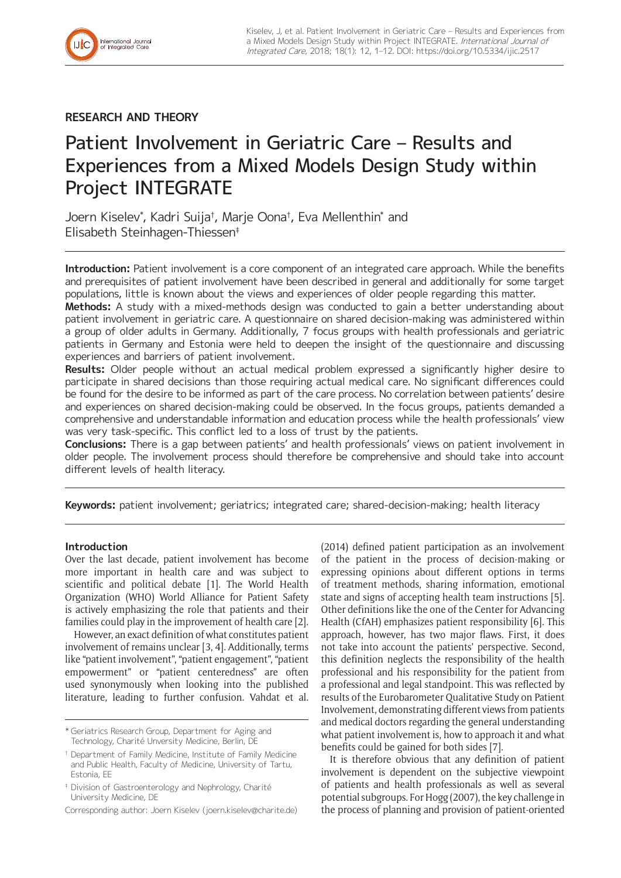

# **RESEARCH AND THEORY**

# Patient Involvement in Geriatric Care – Results and Experiences from a Mixed Models Design Study within Project INTEGRATE

Joern Kiselev\* , Kadri Suija† , Marje Oona† , Eva Mellenthin\* and Elisabeth Steinhagen-Thiessen‡

**Introduction:** Patient involvement is a core component of an integrated care approach. While the benefits and prerequisites of patient involvement have been described in general and additionally for some target populations, little is known about the views and experiences of older people regarding this matter.

**Methods:** A study with a mixed-methods design was conducted to gain a better understanding about patient involvement in geriatric care. A questionnaire on shared decision-making was administered within a group of older adults in Germany. Additionally, 7 focus groups with health professionals and geriatric patients in Germany and Estonia were held to deepen the insight of the questionnaire and discussing experiences and barriers of patient involvement.

**Results:** Older people without an actual medical problem expressed a significantly higher desire to participate in shared decisions than those requiring actual medical care. No significant differences could be found for the desire to be informed as part of the care process. No correlation between patients' desire and experiences on shared decision-making could be observed. In the focus groups, patients demanded a comprehensive and understandable information and education process while the health professionals' view was very task-specific. This conflict led to a loss of trust by the patients.

**Conclusions:** There is a gap between patients' and health professionals' views on patient involvement in older people. The involvement process should therefore be comprehensive and should take into account different levels of health literacy.

**Keywords:** patient involvement; geriatrics; integrated care; shared-decision-making; health literacy

# **Introduction**

Over the last decade, patient involvement has become more important in health care and was subject to scientific and political debate [1]. The World Health Organization (WHO) World Alliance for Patient Safety is actively emphasizing the role that patients and their families could play in the improvement of health care [2].

However, an exact definition of what constitutes patient involvement of remains unclear [3, 4]. Additionally, terms like "patient involvement", "patient engagement", "patient empowerment" or "patient centeredness" are often used synonymously when looking into the published literature, leading to further confusion. Vahdat et al. (2014) defined patient participation as an involvement of the patient in the process of decision-making or expressing opinions about different options in terms of treatment methods, sharing information, emotional state and signs of accepting health team instructions [5]. Other definitions like the one of the Center for Advancing Health (CfAH) emphasizes patient responsibility [6]. This approach, however, has two major flaws. First, it does not take into account the patients' perspective. Second, this definition neglects the responsibility of the health professional and his responsibility for the patient from a professional and legal standpoint. This was reflected by results of the Eurobarometer Qualitative Study on Patient Involvement, demonstrating different views from patients and medical doctors regarding the general understanding what patient involvement is, how to approach it and what benefits could be gained for both sides [7].

It is therefore obvious that any definition of patient involvement is dependent on the subjective viewpoint of patients and health professionals as well as several potential subgroups. For Hogg (2007), the key challenge in the process of planning and provision of patient-oriented

<sup>\*</sup> Geriatrics Research Group, Department for Aging and Technology, Charité Unversity Medicine, Berlin, DE

<sup>†</sup> Department of Family Medicine, Institute of Family Medicine and Public Health, Faculty of Medicine, University of Tartu, Estonia, EE

<sup>‡</sup> Division of Gastroenterology and Nephrology, Charité University Medicine, DE

Corresponding author: Joern Kiselev [\(joern.kiselev@charite.de](mailto:joern.kiselev@charite.de))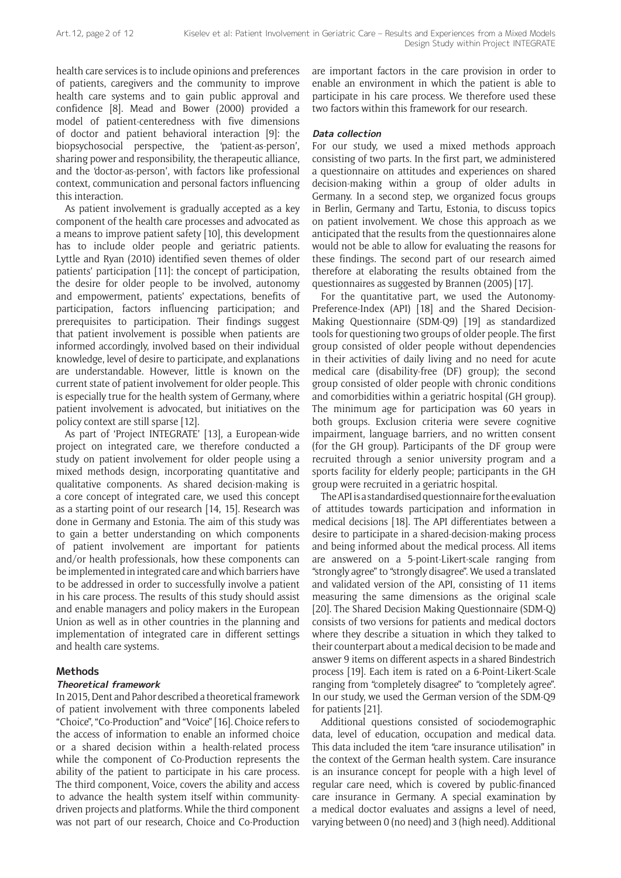health care services is to include opinions and preferences of patients, caregivers and the community to improve health care systems and to gain public approval and confidence [8]. Mead and Bower (2000) provided a model of patient-centeredness with five dimensions of doctor and patient behavioral interaction [9]: the biopsychosocial perspective, the 'patient-as-person', sharing power and responsibility, the therapeutic alliance, and the 'doctor-as-person', with factors like professional context, communication and personal factors influencing this interaction.

As patient involvement is gradually accepted as a key component of the health care processes and advocated as a means to improve patient safety [10], this development has to include older people and geriatric patients. Lyttle and Ryan (2010) identified seven themes of older patients' participation [11]: the concept of participation, the desire for older people to be involved, autonomy and empowerment, patients' expectations, benefits of participation, factors influencing participation; and prerequisites to participation. Their findings suggest that patient involvement is possible when patients are informed accordingly, involved based on their individual knowledge, level of desire to participate, and explanations are understandable. However, little is known on the current state of patient involvement for older people. This is especially true for the health system of Germany, where patient involvement is advocated, but initiatives on the policy context are still sparse [12].

As part of 'Project INTEGRATE' [13], a European-wide project on integrated care, we therefore conducted a study on patient involvement for older people using a mixed methods design, incorporating quantitative and qualitative components. As shared decision-making is a core concept of integrated care, we used this concept as a starting point of our research [14, 15]. Research was done in Germany and Estonia. The aim of this study was to gain a better understanding on which components of patient involvement are important for patients and/or health professionals, how these components can be implemented in integrated care and which barriers have to be addressed in order to successfully involve a patient in his care process. The results of this study should assist and enable managers and policy makers in the European Union as well as in other countries in the planning and implementation of integrated care in different settings and health care systems.

# **Methods**

#### **Theoretical framework**

In 2015, Dent and Pahor described a theoretical framework of patient involvement with three components labeled "Choice", "Co-Production" and "Voice" [16]. Choice refers to the access of information to enable an informed choice or a shared decision within a health-related process while the component of Co-Production represents the ability of the patient to participate in his care process. The third component, Voice, covers the ability and access to advance the health system itself within communitydriven projects and platforms. While the third component was not part of our research, Choice and Co-Production are important factors in the care provision in order to enable an environment in which the patient is able to participate in his care process. We therefore used these two factors within this framework for our research.

#### **Data collection**

For our study, we used a mixed methods approach consisting of two parts. In the first part, we administered a questionnaire on attitudes and experiences on shared decision-making within a group of older adults in Germany. In a second step, we organized focus groups in Berlin, Germany and Tartu, Estonia, to discuss topics on patient involvement. We chose this approach as we anticipated that the results from the questionnaires alone would not be able to allow for evaluating the reasons for these findings. The second part of our research aimed therefore at elaborating the results obtained from the questionnaires as suggested by Brannen (2005) [17].

For the quantitative part, we used the Autonomy-Preference-Index (API) [18] and the Shared Decision-Making Questionnaire (SDM-Q9) [19] as standardized tools for questioning two groups of older people. The first group consisted of older people without dependencies in their activities of daily living and no need for acute medical care (disability-free (DF) group); the second group consisted of older people with chronic conditions and comorbidities within a geriatric hospital (GH group). The minimum age for participation was 60 years in both groups. Exclusion criteria were severe cognitive impairment, language barriers, and no written consent (for the GH group). Participants of the DF group were recruited through a senior university program and a sports facility for elderly people; participants in the GH group were recruited in a geriatric hospital.

The API is a standardised questionnaire for the evaluation of attitudes towards participation and information in medical decisions [18]. The API differentiates between a desire to participate in a shared-decision-making process and being informed about the medical process. All items are answered on a 5-point-Likert-scale ranging from "strongly agree" to "strongly disagree". We used a translated and validated version of the API, consisting of 11 items measuring the same dimensions as the original scale [20]. The Shared Decision Making Questionnaire (SDM-Q) consists of two versions for patients and medical doctors where they describe a situation in which they talked to their counterpart about a medical decision to be made and answer 9 items on different aspects in a shared Bindestrich process [19]. Each item is rated on a 6-Point-Likert-Scale ranging from "completely disagree" to "completely agree". In our study, we used the German version of the SDM-Q9 for patients [21].

Additional questions consisted of sociodemographic data, level of education, occupation and medical data. This data included the item "care insurance utilisation" in the context of the German health system. Care insurance is an insurance concept for people with a high level of regular care need, which is covered by public-financed care insurance in Germany. A special examination by a medical doctor evaluates and assigns a level of need, varying between 0 (no need) and 3 (high need). Additional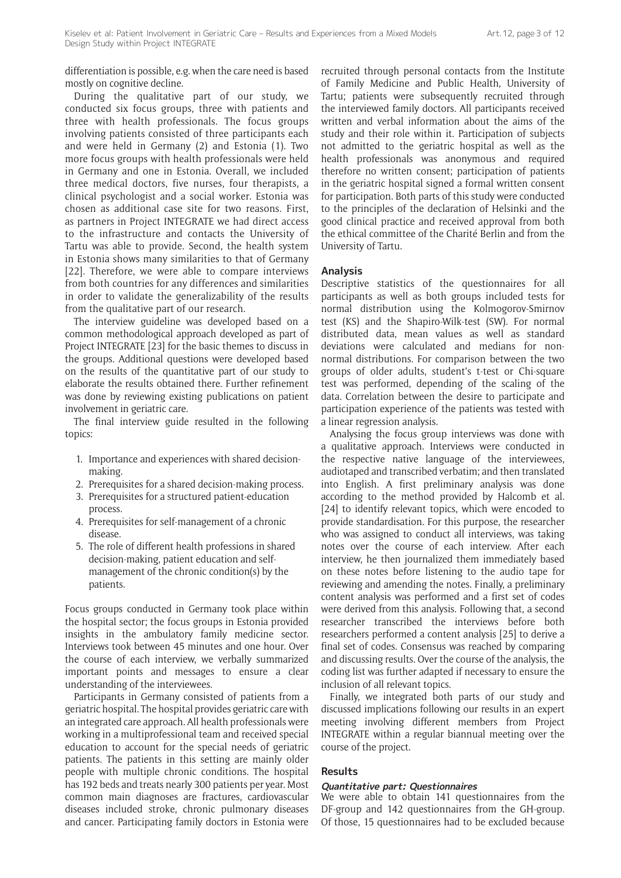differentiation is possible, e.g. when the care need is based mostly on cognitive decline.

During the qualitative part of our study, we conducted six focus groups, three with patients and three with health professionals. The focus groups involving patients consisted of three participants each and were held in Germany (2) and Estonia (1). Two more focus groups with health professionals were held in Germany and one in Estonia. Overall, we included three medical doctors, five nurses, four therapists, a clinical psychologist and a social worker. Estonia was chosen as additional case site for two reasons. First, as partners in Project INTEGRATE we had direct access to the infrastructure and contacts the University of Tartu was able to provide. Second, the health system in Estonia shows many similarities to that of Germany [22]. Therefore, we were able to compare interviews from both countries for any differences and similarities in order to validate the generalizability of the results from the qualitative part of our research.

The interview guideline was developed based on a common methodological approach developed as part of Project INTEGRATE [23] for the basic themes to discuss in the groups. Additional questions were developed based on the results of the quantitative part of our study to elaborate the results obtained there. Further refinement was done by reviewing existing publications on patient involvement in geriatric care.

The final interview guide resulted in the following topics:

- 1. Importance and experiences with shared decisionmaking.
- 2. Prerequisites for a shared decision-making process.
- 3. Prerequisites for a structured patient-education process.
- 4. Prerequisites for self-management of a chronic disease.
- 5. The role of different health professions in shared decision-making, patient education and selfmanagement of the chronic condition(s) by the patients.

Focus groups conducted in Germany took place within the hospital sector; the focus groups in Estonia provided insights in the ambulatory family medicine sector. Interviews took between 45 minutes and one hour. Over the course of each interview, we verbally summarized important points and messages to ensure a clear understanding of the interviewees.

Participants in Germany consisted of patients from a geriatric hospital. The hospital provides geriatric care with an integrated care approach. All health professionals were working in a multiprofessional team and received special education to account for the special needs of geriatric patients. The patients in this setting are mainly older people with multiple chronic conditions. The hospital has 192 beds and treats nearly 300 patients per year. Most common main diagnoses are fractures, cardiovascular diseases included stroke, chronic pulmonary diseases and cancer. Participating family doctors in Estonia were recruited through personal contacts from the Institute of Family Medicine and Public Health, University of Tartu; patients were subsequently recruited through the interviewed family doctors. All participants received written and verbal information about the aims of the study and their role within it. Participation of subjects not admitted to the geriatric hospital as well as the health professionals was anonymous and required therefore no written consent; participation of patients in the geriatric hospital signed a formal written consent for participation. Both parts of this study were conducted to the principles of the declaration of Helsinki and the good clinical practice and received approval from both the ethical committee of the Charité Berlin and from the University of Tartu.

#### **Analysis**

Descriptive statistics of the questionnaires for all participants as well as both groups included tests for normal distribution using the Kolmogorov-Smirnov test (KS) and the Shapiro-Wilk-test (SW). For normal distributed data, mean values as well as standard deviations were calculated and medians for nonnormal distributions. For comparison between the two groups of older adults, student's t-test or Chi-square test was performed, depending of the scaling of the data. Correlation between the desire to participate and participation experience of the patients was tested with a linear regression analysis.

Analysing the focus group interviews was done with a qualitative approach. Interviews were conducted in the respective native language of the interviewees, audiotaped and transcribed verbatim; and then translated into English. A first preliminary analysis was done according to the method provided by Halcomb et al. [24] to identify relevant topics, which were encoded to provide standardisation. For this purpose, the researcher who was assigned to conduct all interviews, was taking notes over the course of each interview. After each interview, he then journalized them immediately based on these notes before listening to the audio tape for reviewing and amending the notes. Finally, a preliminary content analysis was performed and a first set of codes were derived from this analysis. Following that, a second researcher transcribed the interviews before both researchers performed a content analysis [25] to derive a final set of codes. Consensus was reached by comparing and discussing results. Over the course of the analysis, the coding list was further adapted if necessary to ensure the inclusion of all relevant topics.

Finally, we integrated both parts of our study and discussed implications following our results in an expert meeting involving different members from Project INTEGRATE within a regular biannual meeting over the course of the project.

## **Results**

## **Quantitative part: Questionnaires**

We were able to obtain 141 questionnaires from the DF-group and 142 questionnaires from the GH-group. Of those, 15 questionnaires had to be excluded because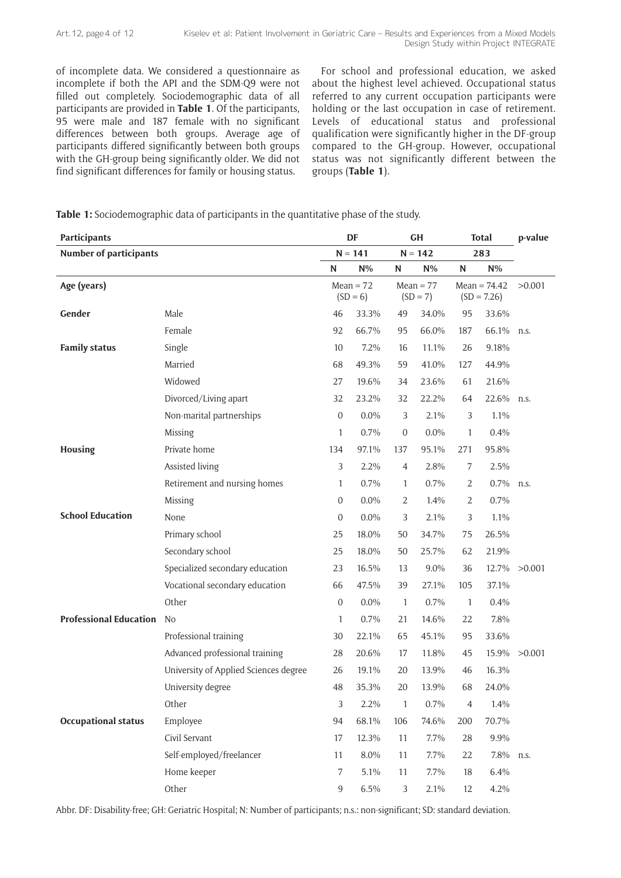of incomplete data. We considered a questionnaire as incomplete if both the API and the SDM-Q9 were not filled out completely. Sociodemographic data of all participants are provided in **Table 1**. Of the participants, 95 were male and 187 female with no significant differences between both groups. Average age of participants differed significantly between both groups with the GH-group being significantly older. We did not find significant differences for family or housing status.

For school and professional education, we asked about the highest level achieved. Occupational status referred to any current occupation participants were holding or the last occupation in case of retirement. Levels of educational status and professional qualification were significantly higher in the DF-group compared to the GH-group. However, occupational status was not significantly different between the groups (**Table 1**).

**Table 1:** Sociodemographic data of participants in the quantitative phase of the study.

| <b>Participants</b>           |                                       | DF                                                     |         | <b>GH</b>        |                                 | <b>Total</b>   |            | p-value |
|-------------------------------|---------------------------------------|--------------------------------------------------------|---------|------------------|---------------------------------|----------------|------------|---------|
| <b>Number of participants</b> |                                       | $N = 141$                                              |         | $N = 142$        |                                 | 283            |            |         |
|                               |                                       | N                                                      | $N\%$   | N                | $N\%$                           | N              | $N\%$      |         |
| Age (years)                   |                                       | $Mean = 72$<br>$Mean = 77$<br>$(SD = 7)$<br>$(SD = 6)$ |         |                  | Mean = $74.42$<br>$(SD = 7.26)$ |                | >0.001     |         |
| Gender                        | Male                                  | 46                                                     | 33.3%   | 49               | 34.0%                           | 95             | 33.6%      |         |
|                               | Female                                | 92                                                     | 66.7%   | 95               | 66.0%                           | 187            | 66.1%      | n.s.    |
| <b>Family status</b>          | Single                                | 10                                                     | 7.2%    | 16               | 11.1%                           | 26             | 9.18%      |         |
|                               | Married                               | 68                                                     | 49.3%   | 59               | 41.0%                           | 127            | 44.9%      |         |
|                               | Widowed                               | 27                                                     | 19.6%   | 34               | 23.6%                           | 61             | 21.6%      |         |
|                               | Divorced/Living apart                 | 32                                                     | 23.2%   | 32               | 22.2%                           | 64             | 22.6% n.s. |         |
|                               | Non-marital partnerships              | $\boldsymbol{0}$                                       | 0.0%    | 3                | 2.1%                            | $\mathfrak{Z}$ | 1.1%       |         |
|                               | Missing                               | 1                                                      | 0.7%    | $\boldsymbol{0}$ | 0.0%                            | $\mathbf{1}$   | 0.4%       |         |
| Housing                       | Private home                          | 134                                                    | 97.1%   | 137              | 95.1%                           | 271            | 95.8%      |         |
|                               | Assisted living                       | 3                                                      | 2.2%    | $\overline{4}$   | 2.8%                            | 7              | 2.5%       |         |
|                               | Retirement and nursing homes          | 1                                                      | 0.7%    | 1                | 0.7%                            | $\overline{2}$ | 0.7%       | n.s.    |
|                               | Missing                               | 0                                                      | $0.0\%$ | 2                | 1.4%                            | 2              | 0.7%       |         |
| <b>School Education</b>       | None                                  | $\overline{0}$                                         | $0.0\%$ | 3                | 2.1%                            | 3              | 1.1%       |         |
|                               | Primary school                        | 25                                                     | 18.0%   | 50               | 34.7%                           | 75             | 26.5%      |         |
|                               | Secondary school                      | 25                                                     | 18.0%   | 50               | 25.7%                           | 62             | 21.9%      |         |
|                               | Specialized secondary education       | 23                                                     | 16.5%   | 13               | 9.0%                            | 36             | 12.7%      | >0.001  |
|                               | Vocational secondary education        | 66                                                     | 47.5%   | 39               | 27.1%                           | 105            | 37.1%      |         |
|                               | Other                                 | $\overline{0}$                                         | $0.0\%$ | $\mathbf{1}$     | 0.7%                            | $\mathbf{1}$   | 0.4%       |         |
| <b>Professional Education</b> | <b>No</b>                             | 1                                                      | 0.7%    | 21               | 14.6%                           | 22             | 7.8%       |         |
|                               | Professional training                 | 30                                                     | 22.1%   | 65               | 45.1%                           | 95             | 33.6%      |         |
|                               | Advanced professional training        | 28                                                     | 20.6%   | 17               | 11.8%                           | 45             | 15.9%      | >0.001  |
|                               | University of Applied Sciences degree | 26                                                     | 19.1%   | 20               | 13.9%                           | 46             | 16.3%      |         |
|                               | University degree                     | 48                                                     | 35.3%   | 20               | 13.9%                           | 68             | 24.0%      |         |
|                               | Other                                 | $\sqrt{3}$                                             | 2.2%    | $\mathbf{1}$     | 0.7%                            | $\overline{4}$ | 1.4%       |         |
| <b>Occupational status</b>    | Employee                              | 94                                                     | 68.1%   | 106              | 74.6%                           | 200            | 70.7%      |         |
|                               | Civil Servant                         | 17                                                     | 12.3%   | 11               | 7.7%                            | 28             | 9.9%       |         |
|                               | Self-employed/freelancer              | $11\,$                                                 | 8.0%    | 11               | 7.7%                            | 22             | 7.8%       | n.s.    |
|                               | Home keeper                           | $\overline{7}$                                         | 5.1%    | 11               | 7.7%                            | 18             | 6.4%       |         |
|                               | Other                                 | 9                                                      | 6.5%    | 3                | 2.1%                            | $12\,$         | 4.2%       |         |

Abbr. DF: Disability-free; GH: Geriatric Hospital; N: Number of participants; n.s.: non-significant; SD: standard deviation.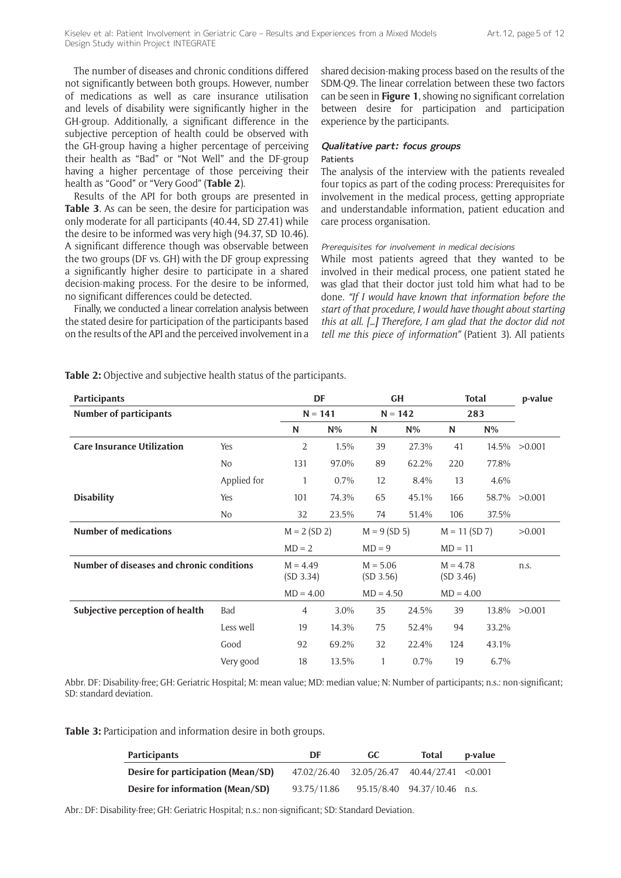The number of diseases and chronic conditions differed not significantly between both groups. However, number of medications as well as care insurance utilisation and levels of disability were significantly higher in the GH-group. Additionally, a significant difference in the subjective perception of health could be observed with the GH-group having a higher percentage of perceiving their health as "Bad" or "Not Well" and the DF-group having a higher percentage of those perceiving their health as "Good" or "Very Good" (**Table 2**).

Results of the API for both groups are presented in **Table 3**. As can be seen, the desire for participation was only moderate for all participants (40.44, SD 27.41) while the desire to be informed was very high (94.37, SD 10.46). A significant difference though was observable between the two groups (DF vs. GH) with the DF group expressing a significantly higher desire to participate in a shared decision-making process. For the desire to be informed, no significant differences could be detected.

Finally, we conducted a linear correlation analysis between the stated desire for participation of the participants based on the results of the API and the perceived involvement in a shared decision-making process based on the results of the SDM-Q9. The linear correlation between these two factors can be seen in **Figure 1**, showing no significant correlation between desire for participation and participation experience by the participants.

# **Qualitative part: focus groups**

# Patients

The analysis of the interview with the patients revealed four topics as part of the coding process: Prerequisites for involvement in the medical process, getting appropriate and understandable information, patient education and care process organisation.

#### Prerequisites for involvement in medical decisions

While most patients agreed that they wanted to be involved in their medical process, one patient stated he was glad that their doctor just told him what had to be done. *"If I would have known that information before the start of that procedure, I would have thought about starting this at all*. *[…] Therefore, I am glad that the doctor did not tell me this piece of information"* (Patient 3). All patients

| <b>Participants</b>                       |             | DF                      |         | <b>GH</b>               |       | <b>Total</b>            |       | p-value |
|-------------------------------------------|-------------|-------------------------|---------|-------------------------|-------|-------------------------|-------|---------|
| <b>Number of participants</b>             |             | $N = 141$               |         | $N = 142$               |       | 283                     |       |         |
|                                           |             | N                       | $N\%$   | N                       | $N\%$ | N                       | $N\%$ |         |
| <b>Care Insurance Utilization</b>         | Yes         | $\overline{2}$          | 1.5%    | 39                      | 27.3% | 41                      | 14.5% | >0.001  |
|                                           | No          | 131                     | 97.0%   | 89                      | 62.2% | 220                     | 77.8% |         |
|                                           | Applied for | 1                       | $0.7\%$ | 12                      | 8.4%  | 13                      | 4.6%  |         |
| <b>Disability</b>                         | Yes         | 101                     | 74.3%   | 65                      | 45.1% | 166                     | 58.7% | >0.001  |
|                                           | No          | 32                      | 23.5%   | 74                      | 51.4% | 106                     | 37.5% |         |
| <b>Number of medications</b>              |             | $M = 2 (SD 2)$          |         | $M = 9 (SD 5)$          |       | $M = 11 (SD 7)$         |       | >0.001  |
|                                           |             | $MD = 2$                |         | $MD = 9$                |       | $MD = 11$               |       |         |
| Number of diseases and chronic conditions |             | $M = 4.49$<br>(SD 3.34) |         | $M = 5.06$<br>(SD 3.56) |       | $M = 4.78$<br>(SD 3.46) |       | n.s.    |
|                                           |             | $MD = 4.00$             |         | $MD = 4.50$             |       | $MD = 4.00$             |       |         |
| Subjective perception of health           | Bad         | 4                       | 3.0%    | 35                      | 24.5% | 39                      | 13.8% | >0.001  |
|                                           | Less well   | 19                      | 14.3%   | 75                      | 52.4% | 94                      | 33.2% |         |
|                                           | Good        | 92                      | 69.2%   | 32                      | 22.4% | 124                     | 43.1% |         |
|                                           | Very good   | 18                      | 13.5%   | 1                       | 0.7%  | 19                      | 6.7%  |         |

**Table 2:** Objective and subjective health status of the participants.

Abbr. DF: Disability-free; GH: Geriatric Hospital; M: mean value; MD: median value; N: Number of participants; n.s.: non-significant; SD: standard deviation.

**Table 3:** Participation and information desire in both groups.

| <b>Participants</b>                | DF          | GC -                               | <b>Total</b>                | p-value |
|------------------------------------|-------------|------------------------------------|-----------------------------|---------|
| Desire for participation (Mean/SD) | 47.02/26.40 | $32.05/26.47$ $40.44/27.41$ <0.001 |                             |         |
| Desire for information (Mean/SD)   | 93.75/11.86 |                                    | 95.15/8.40 94.37/10.46 n.s. |         |

Abr.: DF: Disability-free; GH: Geriatric Hospital; n.s.: non-significant; SD: Standard Deviation.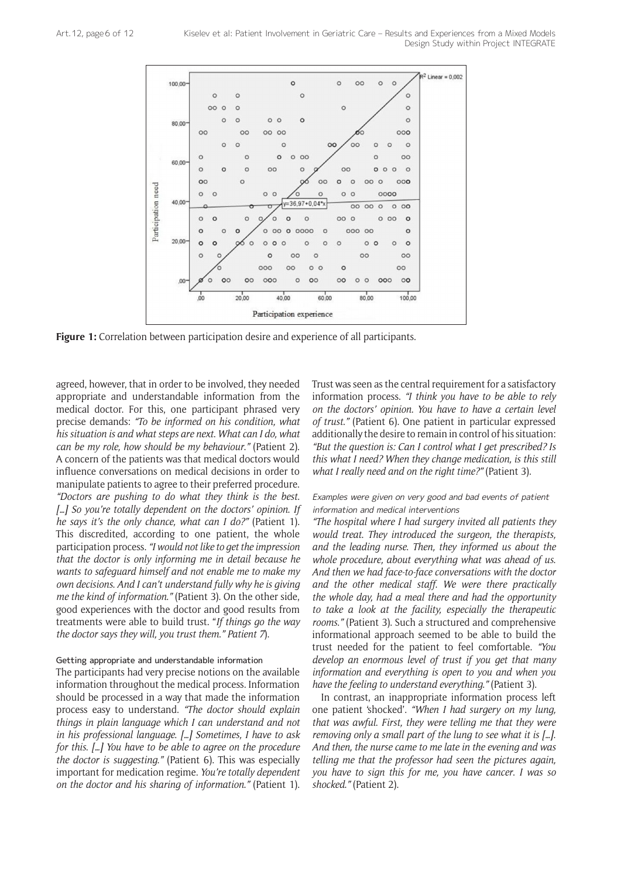

**Figure 1:** Correlation between participation desire and experience of all participants.

agreed, however, that in order to be involved, they needed appropriate and understandable information from the medical doctor. For this, one participant phrased very precise demands: *"To be informed on his condition, what his situation is and what steps are next*. *What can I do, what can be my role, how should be my behaviour*.*"* (Patient 2). A concern of the patients was that medical doctors would influence conversations on medical decisions in order to manipulate patients to agree to their preferred procedure. *"Doctors are pushing to do what they think is the best*. *[…] So you're totally dependent on the doctors' opinion*. *If he says it's the only chance, what can I do?"* (Patient 1). This discredited, according to one patient, the whole participation process. *"I would not like to get the impression that the doctor is only informing me in detail because he wants to safeguard himself and not enable me to make my own decisions*. *And I can't understand fully why he is giving me the kind of information*.*"* (Patient 3). On the other side, good experiences with the doctor and good results from treatments were able to build trust. "*If things go the way the doctor says they will, you trust them*.*" Patient 7*).

# Getting appropriate and understandable information

The participants had very precise notions on the available information throughout the medical process. Information should be processed in a way that made the information process easy to understand. *"The doctor should explain things in plain language which I can understand and not in his professional language*. *[…] Sometimes, I have to ask for this*. *[…] You have to be able to agree on the procedure the doctor is suggesting*.*"* (Patient 6). This was especially important for medication regime. *You're totally dependent on the doctor and his sharing of information*.*"* (Patient 1). Trust was seen as the central requirement for a satisfactory information process. *"I think you have to be able to rely on the doctors' opinion*. *You have to have a certain level of trust*.*"* (Patient 6). One patient in particular expressed additionally the desire to remain in control of his situation: *"But the question is: Can I control what I get prescribed? Is this what I need? When they change medication, is this still what I really need and on the right time?"* (Patient 3).

## Examples were given on very good and bad events of patient information and medical interventions

*"The hospital where I had surgery invited all patients they would treat*. *They introduced the surgeon, the therapists, and the leading nurse*. *Then, they informed us about the whole procedure, about everything what was ahead of us*. *And then we had face-to-face conversations with the doctor and the other medical staff*. *We were there practically the whole day, had a meal there and had the opportunity to take a look at the facility, especially the therapeutic rooms*.*"* (Patient 3). Such a structured and comprehensive informational approach seemed to be able to build the trust needed for the patient to feel comfortable. *"You develop an enormous level of trust if you get that many information and everything is open to you and when you have the feeling to understand everything*.*"* (Patient 3).

In contrast, an inappropriate information process left one patient 'shocked'. *"When I had surgery on my lung, that was awful*. *First, they were telling me that they were removing only a small part of the lung to see what it is […]*. *And then, the nurse came to me late in the evening and was telling me that the professor had seen the pictures again, you have to sign this for me, you have cancer*. *I was so shocked*.*"* (Patient 2).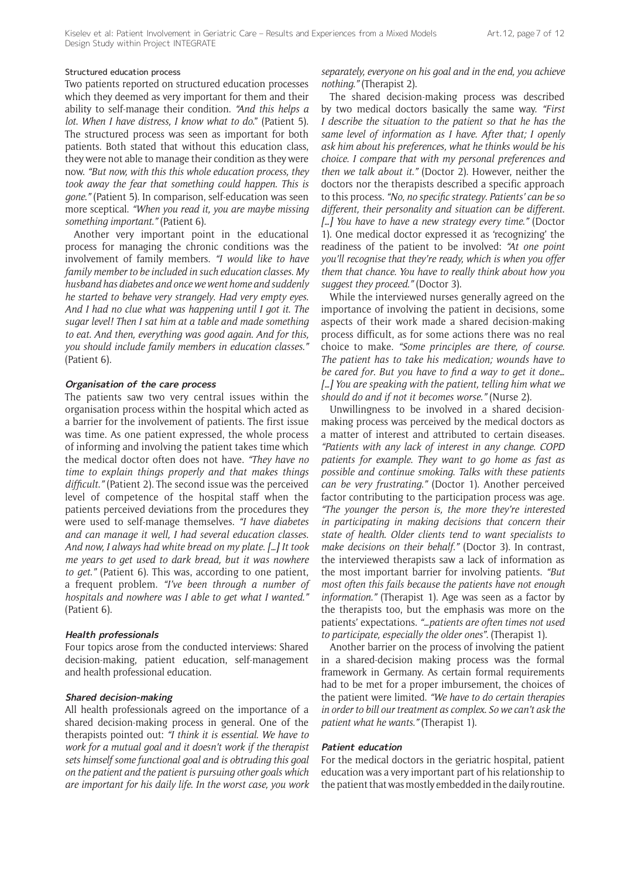#### Structured education process

Two patients reported on structured education processes which they deemed as very important for them and their ability to self-manage their condition. *"And this helps a lot*. *When I have distress, I know what to do*." (Patient 5). The structured process was seen as important for both patients. Both stated that without this education class, they were not able to manage their condition as they were now. *"But now, with this this whole education process, they took away the fear that something could happen*. *This is gone*.*"* (Patient 5). In comparison, self-education was seen more sceptical. *"When you read it, you are maybe missing something important*.*"* (Patient 6).

Another very important point in the educational process for managing the chronic conditions was the involvement of family members. *"I would like to have family member to be included in such education classes*. *My husband has diabetes and once we went home and suddenly he started to behave very strangely*. *Had very empty eyes*. *And I had no clue what was happening until I got it*. *The sugar level! Then I sat him at a table and made something to eat*. *And then, everything was good again*. *And for this, you should include family members in education classes*.*"* (Patient 6).

#### **Organisation of the care process**

The patients saw two very central issues within the organisation process within the hospital which acted as a barrier for the involvement of patients. The first issue was time. As one patient expressed, the whole process of informing and involving the patient takes time which the medical doctor often does not have. *"They have no time to explain things properly and that makes things difficult*.*"* (Patient 2). The second issue was the perceived level of competence of the hospital staff when the patients perceived deviations from the procedures they were used to self-manage themselves. *"I have diabetes and can manage it well, I had several education classes*. *And now, I always had white bread on my plate*. *[…] It took me years to get used to dark bread, but it was nowhere to get*.*"* (Patient 6). This was, according to one patient, a frequent problem. *"I've been through a number of hospitals and nowhere was I able to get what I wanted*.*"* (Patient 6).

#### **Health professionals**

Four topics arose from the conducted interviews: Shared decision-making, patient education, self-management and health professional education.

#### **Shared decision-making**

All health professionals agreed on the importance of a shared decision-making process in general. One of the therapists pointed out: *"I think it is essential*. *We have to work for a mutual goal and it doesn't work if the therapist sets himself some functional goal and is obtruding this goal on the patient and the patient is pursuing other goals which are important for his daily life*. *In the worst case, you work*  *separately, everyone on his goal and in the end, you achieve nothing*.*"* (Therapist 2).

The shared decision-making process was described by two medical doctors basically the same way. *"First I describe the situation to the patient so that he has the same level of information as I have*. *After that; I openly ask him about his preferences, what he thinks would be his choice*. *I compare that with my personal preferences and then we talk about it*.*"* (Doctor 2). However, neither the doctors nor the therapists described a specific approach to this process. *"No, no specific strategy*. *Patients' can be so different, their personality and situation can be different*. *[…] You have to have a new strategy every time*.*"* (Doctor 1). One medical doctor expressed it as 'recognizing' the readiness of the patient to be involved: *"At one point you'll recognise that they're ready, which is when you offer them that chance*. *You have to really think about how you suggest they proceed*.*"* (Doctor 3).

While the interviewed nurses generally agreed on the importance of involving the patient in decisions, some aspects of their work made a shared decision-making process difficult, as for some actions there was no real choice to make. *"Some principles are there, of course*. *The patient has to take his medication; wounds have to be cared for*. *But you have to find a way to get it done… […] You are speaking with the patient, telling him what we should do and if not it becomes worse*.*"* (Nurse 2).

Unwillingness to be involved in a shared decisionmaking process was perceived by the medical doctors as a matter of interest and attributed to certain diseases. *"Patients with any lack of interest in any change*. *COPD patients for example*. *They want to go home as fast as possible and continue smoking*. *Talks with these patients can be very frustrating*.*"* (Doctor 1). Another perceived factor contributing to the participation process was age. *"The younger the person is, the more they're interested in participating in making decisions that concern their state of health*. *Older clients tend to want specialists to make decisions on their behalf*.*"* (Doctor 3). In contrast, the interviewed therapists saw a lack of information as the most important barrier for involving patients. *"But most often this fails because the patients have not enough information*.*"* (Therapist 1). Age was seen as a factor by the therapists too, but the emphasis was more on the patients' expectations. *"…patients are often times not used to participate, especially the older ones"*. (Therapist 1).

Another barrier on the process of involving the patient in a shared-decision making process was the formal framework in Germany. As certain formal requirements had to be met for a proper imbursement, the choices of the patient were limited. *"We have to do certain therapies in order to bill our treatment as complex*. *So we can't ask the patient what he wants*.*"* (Therapist 1).

#### **Patient education**

For the medical doctors in the geriatric hospital, patient education was a very important part of his relationship to the patient that was mostly embedded in the daily routine.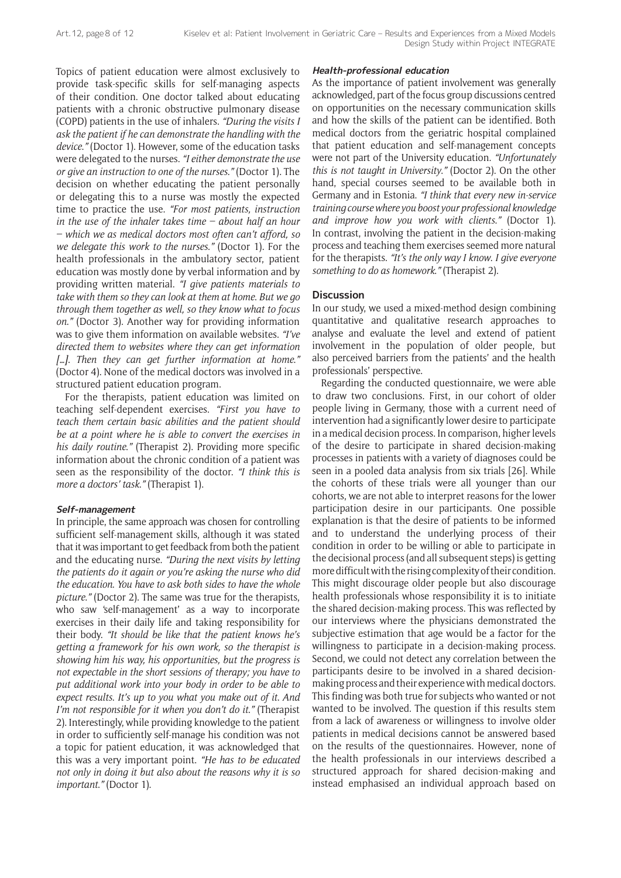Topics of patient education were almost exclusively to provide task-specific skills for self-managing aspects of their condition. One doctor talked about educating patients with a chronic obstructive pulmonary disease (COPD) patients in the use of inhalers. *"During the visits I ask the patient if he can demonstrate the handling with the device*.*"* (Doctor 1). However, some of the education tasks were delegated to the nurses. *"I either demonstrate the use or give an instruction to one of the nurses*.*"* (Doctor 1). The decision on whether educating the patient personally or delegating this to a nurse was mostly the expected time to practice the use. *"For most patients, instruction in the use of the inhaler takes time – about half an hour – which we as medical doctors most often can't afford, so we delegate this work to the nurses*.*"* (Doctor 1). For the health professionals in the ambulatory sector, patient education was mostly done by verbal information and by providing written material. *"I give patients materials to take with them so they can look at them at home*. *But we go through them together as well, so they know what to focus on*.*"* (Doctor 3). Another way for providing information was to give them information on available websites. *"I've directed them to websites where they can get information […]*. *Then they can get further information at home*.*"* (Doctor 4). None of the medical doctors was involved in a structured patient education program.

For the therapists, patient education was limited on teaching self-dependent exercises. *"First you have to teach them certain basic abilities and the patient should be at a point where he is able to convert the exercises in his daily routine*.*"* (Therapist 2). Providing more specific information about the chronic condition of a patient was seen as the responsibility of the doctor. *"I think this is more a doctors' task*.*"* (Therapist 1).

# **Self-management**

In principle, the same approach was chosen for controlling sufficient self-management skills, although it was stated that it was important to get feedback from both the patient and the educating nurse. *"During the next visits by letting the patients do it again or you're asking the nurse who did the education*. *You have to ask both sides to have the whole picture*.*"* (Doctor 2). The same was true for the therapists, who saw 'self-management' as a way to incorporate exercises in their daily life and taking responsibility for their body. *"It should be like that the patient knows he's getting a framework for his own work, so the therapist is showing him his way, his opportunities, but the progress is not expectable in the short sessions of therapy; you have to put additional work into your body in order to be able to expect results*. *It's up to you what you make out of it*. *And I'm not responsible for it when you don't do it*.*"* (Therapist 2). Interestingly, while providing knowledge to the patient in order to sufficiently self-manage his condition was not a topic for patient education, it was acknowledged that this was a very important point. *"He has to be educated not only in doing it but also about the reasons why it is so important*.*"* (Doctor 1).

#### **Health-professional education**

As the importance of patient involvement was generally acknowledged, part of the focus group discussions centred on opportunities on the necessary communication skills and how the skills of the patient can be identified. Both medical doctors from the geriatric hospital complained that patient education and self-management concepts were not part of the University education. *"Unfortunately this is not taught in University*.*"* (Doctor 2). On the other hand, special courses seemed to be available both in Germany and in Estonia. *"I think that every new in-service training course where you boost your professional knowledge and improve how you work with clients*.*"* (Doctor 1). In contrast, involving the patient in the decision-making process and teaching them exercises seemed more natural for the therapists. *"It's the only way I know*. *I give everyone something to do as homework*.*"* (Therapist 2).

# **Discussion**

In our study, we used a mixed-method design combining quantitative and qualitative research approaches to analyse and evaluate the level and extend of patient involvement in the population of older people, but also perceived barriers from the patients' and the health professionals' perspective.

Regarding the conducted questionnaire, we were able to draw two conclusions. First, in our cohort of older people living in Germany, those with a current need of intervention had a significantly lower desire to participate in a medical decision process. In comparison, higher levels of the desire to participate in shared decision-making processes in patients with a variety of diagnoses could be seen in a pooled data analysis from six trials [26]. While the cohorts of these trials were all younger than our cohorts, we are not able to interpret reasons for the lower participation desire in our participants. One possible explanation is that the desire of patients to be informed and to understand the underlying process of their condition in order to be willing or able to participate in the decisional process (and all subsequent steps) is getting more difficult with the rising complexity of their condition. This might discourage older people but also discourage health professionals whose responsibility it is to initiate the shared decision-making process. This was reflected by our interviews where the physicians demonstrated the subjective estimation that age would be a factor for the willingness to participate in a decision-making process. Second, we could not detect any correlation between the participants desire to be involved in a shared decisionmaking process and their experience with medical doctors. This finding was both true for subjects who wanted or not wanted to be involved. The question if this results stem from a lack of awareness or willingness to involve older patients in medical decisions cannot be answered based on the results of the questionnaires. However, none of the health professionals in our interviews described a structured approach for shared decision-making and instead emphasised an individual approach based on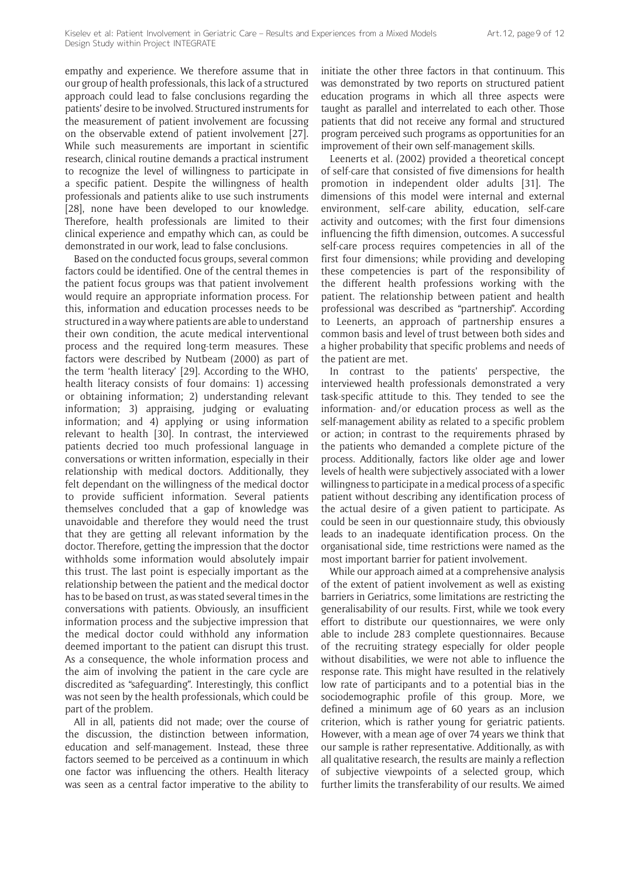empathy and experience. We therefore assume that in our group of health professionals, this lack of a structured approach could lead to false conclusions regarding the patients' desire to be involved. Structured instruments for the measurement of patient involvement are focussing on the observable extend of patient involvement [27]. While such measurements are important in scientific research, clinical routine demands a practical instrument to recognize the level of willingness to participate in a specific patient. Despite the willingness of health professionals and patients alike to use such instruments [28], none have been developed to our knowledge. Therefore, health professionals are limited to their clinical experience and empathy which can, as could be demonstrated in our work, lead to false conclusions.

Based on the conducted focus groups, several common factors could be identified. One of the central themes in the patient focus groups was that patient involvement would require an appropriate information process. For this, information and education processes needs to be structured in a way where patients are able to understand their own condition, the acute medical interventional process and the required long-term measures. These factors were described by Nutbeam (2000) as part of the term 'health literacy' [29]. According to the WHO, health literacy consists of four domains: 1) accessing or obtaining information; 2) understanding relevant information; 3) appraising, judging or evaluating information; and 4) applying or using information relevant to health [30]. In contrast, the interviewed patients decried too much professional language in conversations or written information, especially in their relationship with medical doctors. Additionally, they felt dependant on the willingness of the medical doctor to provide sufficient information. Several patients themselves concluded that a gap of knowledge was unavoidable and therefore they would need the trust that they are getting all relevant information by the doctor. Therefore, getting the impression that the doctor withholds some information would absolutely impair this trust. The last point is especially important as the relationship between the patient and the medical doctor has to be based on trust, as was stated several times in the conversations with patients. Obviously, an insufficient information process and the subjective impression that the medical doctor could withhold any information deemed important to the patient can disrupt this trust. As a consequence, the whole information process and the aim of involving the patient in the care cycle are discredited as "safeguarding". Interestingly, this conflict was not seen by the health professionals, which could be part of the problem.

All in all, patients did not made; over the course of the discussion, the distinction between information, education and self-management. Instead, these three factors seemed to be perceived as a continuum in which one factor was influencing the others. Health literacy was seen as a central factor imperative to the ability to

initiate the other three factors in that continuum. This was demonstrated by two reports on structured patient education programs in which all three aspects were taught as parallel and interrelated to each other. Those patients that did not receive any formal and structured program perceived such programs as opportunities for an improvement of their own self-management skills.

Leenerts et al. (2002) provided a theoretical concept of self-care that consisted of five dimensions for health promotion in independent older adults [31]. The dimensions of this model were internal and external environment, self-care ability, education, self-care activity and outcomes; with the first four dimensions influencing the fifth dimension, outcomes. A successful self-care process requires competencies in all of the first four dimensions; while providing and developing these competencies is part of the responsibility of the different health professions working with the patient. The relationship between patient and health professional was described as "partnership". According to Leenerts, an approach of partnership ensures a common basis and level of trust between both sides and a higher probability that specific problems and needs of the patient are met.

In contrast to the patients' perspective, the interviewed health professionals demonstrated a very task-specific attitude to this. They tended to see the information- and/or education process as well as the self-management ability as related to a specific problem or action; in contrast to the requirements phrased by the patients who demanded a complete picture of the process. Additionally, factors like older age and lower levels of health were subjectively associated with a lower willingness to participate in a medical process of a specific patient without describing any identification process of the actual desire of a given patient to participate. As could be seen in our questionnaire study, this obviously leads to an inadequate identification process. On the organisational side, time restrictions were named as the most important barrier for patient involvement.

While our approach aimed at a comprehensive analysis of the extent of patient involvement as well as existing barriers in Geriatrics, some limitations are restricting the generalisability of our results. First, while we took every effort to distribute our questionnaires, we were only able to include 283 complete questionnaires. Because of the recruiting strategy especially for older people without disabilities, we were not able to influence the response rate. This might have resulted in the relatively low rate of participants and to a potential bias in the sociodemographic profile of this group. More, we defined a minimum age of 60 years as an inclusion criterion, which is rather young for geriatric patients. However, with a mean age of over 74 years we think that our sample is rather representative. Additionally, as with all qualitative research, the results are mainly a reflection of subjective viewpoints of a selected group, which further limits the transferability of our results. We aimed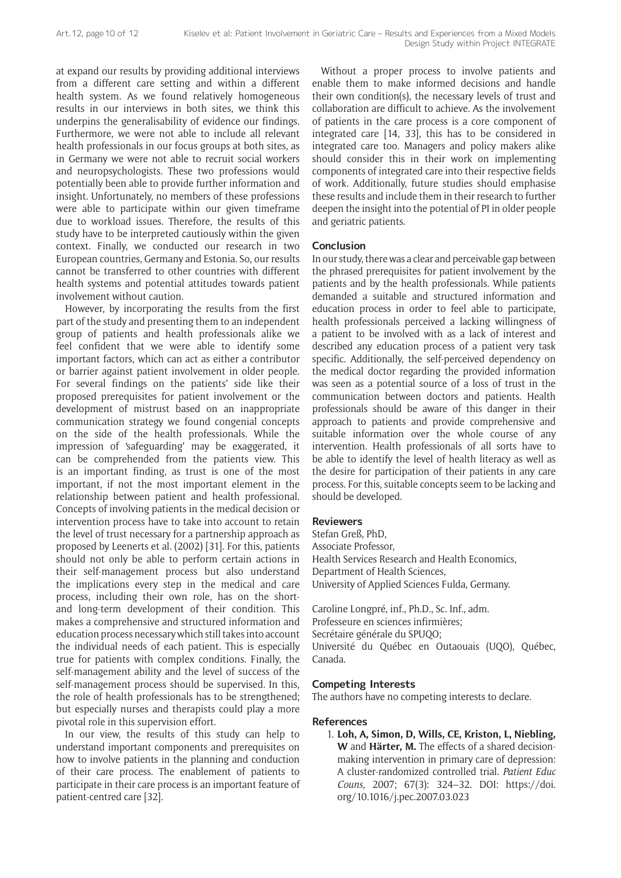at expand our results by providing additional interviews from a different care setting and within a different health system. As we found relatively homogeneous results in our interviews in both sites, we think this underpins the generalisability of evidence our findings. Furthermore, we were not able to include all relevant health professionals in our focus groups at both sites, as in Germany we were not able to recruit social workers and neuropsychologists. These two professions would potentially been able to provide further information and insight. Unfortunately, no members of these professions were able to participate within our given timeframe due to workload issues. Therefore, the results of this study have to be interpreted cautiously within the given context. Finally, we conducted our research in two European countries, Germany and Estonia. So, our results cannot be transferred to other countries with different health systems and potential attitudes towards patient involvement without caution.

However, by incorporating the results from the first part of the study and presenting them to an independent group of patients and health professionals alike we feel confident that we were able to identify some important factors, which can act as either a contributor or barrier against patient involvement in older people. For several findings on the patients' side like their proposed prerequisites for patient involvement or the development of mistrust based on an inappropriate communication strategy we found congenial concepts on the side of the health professionals. While the impression of 'safeguarding' may be exaggerated, it can be comprehended from the patients view. This is an important finding, as trust is one of the most important, if not the most important element in the relationship between patient and health professional. Concepts of involving patients in the medical decision or intervention process have to take into account to retain the level of trust necessary for a partnership approach as proposed by Leenerts et al. (2002) [31]. For this, patients should not only be able to perform certain actions in their self-management process but also understand the implications every step in the medical and care process, including their own role, has on the shortand long-term development of their condition. This makes a comprehensive and structured information and education process necessary which still takes into account the individual needs of each patient. This is especially true for patients with complex conditions. Finally, the self-management ability and the level of success of the self-management process should be supervised. In this, the role of health professionals has to be strengthened; but especially nurses and therapists could play a more pivotal role in this supervision effort.

In our view, the results of this study can help to understand important components and prerequisites on how to involve patients in the planning and conduction of their care process. The enablement of patients to participate in their care process is an important feature of patient-centred care [32].

Without a proper process to involve patients and enable them to make informed decisions and handle their own condition(s), the necessary levels of trust and collaboration are difficult to achieve. As the involvement of patients in the care process is a core component of integrated care [14, 33], this has to be considered in integrated care too. Managers and policy makers alike should consider this in their work on implementing components of integrated care into their respective fields of work. Additionally, future studies should emphasise these results and include them in their research to further deepen the insight into the potential of PI in older people and geriatric patients.

# **Conclusion**

In our study, there was a clear and perceivable gap between the phrased prerequisites for patient involvement by the patients and by the health professionals. While patients demanded a suitable and structured information and education process in order to feel able to participate, health professionals perceived a lacking willingness of a patient to be involved with as a lack of interest and described any education process of a patient very task specific. Additionally, the self-perceived dependency on the medical doctor regarding the provided information was seen as a potential source of a loss of trust in the communication between doctors and patients. Health professionals should be aware of this danger in their approach to patients and provide comprehensive and suitable information over the whole course of any intervention. Health professionals of all sorts have to be able to identify the level of health literacy as well as the desire for participation of their patients in any care process. For this, suitable concepts seem to be lacking and should be developed.

#### **Reviewers**

Stefan Greß, PhD, Associate Professor, Health Services Research and Health Economics, Department of Health Sciences, University of Applied Sciences Fulda, Germany.

Caroline Longpré, inf., Ph.D., Sc. Inf., adm. Professeure en sciences infirmières; Secrétaire générale du SPUQO; Université du Québec en Outaouais (UQO), Québec, Canada.

#### **Competing Interests**

The authors have no competing interests to declare.

#### **References**

1. **Loh, A, Simon, D, Wills, CE, Kriston, L, Niebling, W** and **Härter, M.** The effects of a shared decisionmaking intervention in primary care of depression: A cluster-randomized controlled trial. *Patient Educ Couns*, 2007; 67(3): 324–32. DOI: [https://doi.](https://doi.org/10.1016/j.pec.2007.03.023) [org/10.1016/j.pec.2007.03.023](https://doi.org/10.1016/j.pec.2007.03.023)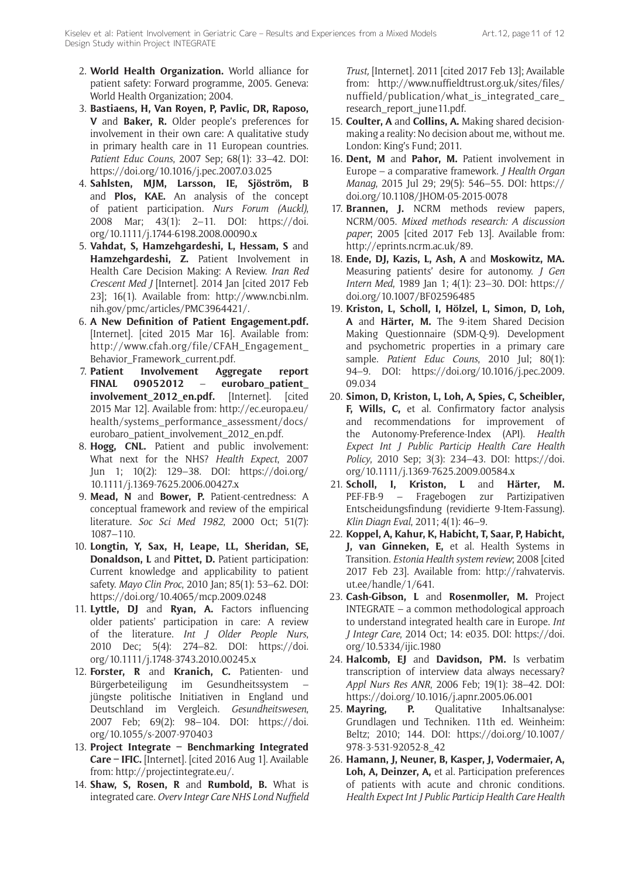- 2. **World Health Organization.** World alliance for patient safety: Forward programme, 2005. Geneva: World Health Organization; 2004.
- 3. **Bastiaens, H, Van Royen, P, Pavlic, DR, Raposo, V** and **Baker, R.** Older people's preferences for involvement in their own care: A qualitative study in primary health care in 11 European countries. *Patient Educ Couns*, 2007 Sep; 68(1): 33–42. DOI: <https://doi.org/10.1016/j.pec.2007.03.025>
- 4. **Sahlsten, MJM, Larsson, IE, Sjöström, B** and **Plos, KAE.** An analysis of the concept of patient participation. *Nurs Forum (Auckl)*, 2008 Mar; 43(1): 2–11. DOI: [https://doi.](https://doi.org/10.1111/j.1744-6198.2008.00090.x) [org/10.1111/j.1744-6198.2008.00090.x](https://doi.org/10.1111/j.1744-6198.2008.00090.x)
- 5. **Vahdat, S, Hamzehgardeshi, L, Hessam, S** and **Hamzehgardeshi, Z.** Patient Involvement in Health Care Decision Making: A Review. *Iran Red Crescent Med J* [Internet]. 2014 Jan [cited 2017 Feb 23]; 16(1). Available from: [http://www.ncbi.nlm.](http://www.ncbi.nlm.nih.gov/pmc/articles/PMC3964421/) [nih.gov/pmc/articles/PMC3964421/](http://www.ncbi.nlm.nih.gov/pmc/articles/PMC3964421/).
- 6. **[A New Definition of Patient Engagement.pdf](http://www.cfah.org/file/CFAH_Engagement_Behavior_Framework_current.pdf).** [Internet]. [cited 2015 Mar 16]. Available from: [http://www.cfah.org/file/CFAH\\_Engagement\\_](http://www.cfah.org/file/CFAH_Engagement_Behavior_Framework_current.pdf) [Behavior\\_Framework\\_current.pdf.](http://www.cfah.org/file/CFAH_Engagement_Behavior_Framework_current.pdf)
- 7. **[Patient Involvement Aggregate report](https://ec.europa.eu/health/sites/health/files/systems_performance_assessment/docs/eurobaro_patient_involvement_2012_en.pdf)  [FINAL 09052012](https://ec.europa.eu/health/sites/health/files/systems_performance_assessment/docs/eurobaro_patient_involvement_2012_en.pdf)** – **eurobaro\_patient\_** [involvement\\_2012\\_en.pdf.](https://ec.europa.eu/health/sites/health/files/systems_performance_assessment/docs/eurobaro_patient_involvement_2012_en.pdf) [Internet]. [cited 2015 Mar 12]. Available from: [http://ec.europa.eu/](http://ec.europa.eu/health/systems_performance_assessment/docs/eurobaro_patient_involvement_2012_en.pdf) [health/systems\\_performance\\_assessment/docs/](http://ec.europa.eu/health/systems_performance_assessment/docs/eurobaro_patient_involvement_2012_en.pdf) [eurobaro\\_patient\\_involvement\\_2012\\_en.pdf.](http://ec.europa.eu/health/systems_performance_assessment/docs/eurobaro_patient_involvement_2012_en.pdf)
- 8. **Hogg, CNL.** Patient and public involvement: What next for the NHS? *Health Expect*, 2007 Jun 1; 10(2): 129–38. DOI: [https://doi.org/](https://doi.org/10.1111/j.1369-7625.2006.00427.x) [10.1111/j.1369-7625.2006.00427.x](https://doi.org/10.1111/j.1369-7625.2006.00427.x)
- 9. **Mead, N** and **Bower, P.** Patient-centredness: A conceptual framework and review of the empirical literature. *Soc Sci Med 1982*, 2000 Oct; 51(7): 1087–110.
- 10. **Longtin, Y, Sax, H, Leape, LL, Sheridan, SE, Donaldson, L** and **Pittet, D.** Patient participation: Current knowledge and applicability to patient safety. *Mayo Clin Proc*, 2010 Jan; 85(1): 53–62. DOI: <https://doi.org/10.4065/mcp.2009.0248>
- 11. **Lyttle, DJ** and **Ryan, A.** Factors influencing older patients' participation in care: A review of the literature. *Int J Older People Nurs*, 2010 Dec; 5(4): 274–82. DOI: [https://doi.](https://doi.org/10.1111/j.1748-3743.2010.00245.x) [org/10.1111/j.1748-3743.2010.00245.x](https://doi.org/10.1111/j.1748-3743.2010.00245.x)
- 12. **Forster, R** and **Kranich, C.** Patienten- und Bürgerbeteiligung im Gesundheitssystem – jüngste politische Initiativen in England und Deutschland im Vergleich. *Gesundheitswesen*, 2007 Feb; 69(2): 98–104. DOI: [https://doi.](https://doi.org/10.1055/s-2007-970403) [org/10.1055/s-2007-970403](https://doi.org/10.1055/s-2007-970403)
- 13. **Project Integrate Benchmarking Integrated Care – IFIC.** [Internet]. [cited 2016 Aug 1]. Available from: <http://projectintegrate.eu/>.
- 14. **Shaw, S, Rosen, R** and **Rumbold, B.** What is integrated care. *Overv Integr Care NHS Lond Nuffield*

*Trust,* [Internet]. 2011 [cited 2017 Feb 13]; Available from: [http://www.nuffieldtrust.org.uk/sites/files/](http://www.nuffieldtrust.org.uk/sites/files/nuffield/publication/what_is_integrated_care_research_report_june11.pdf) nuffield/publication/what\_is\_integrated\_care [research\\_report\\_june11.pdf.](http://www.nuffieldtrust.org.uk/sites/files/nuffield/publication/what_is_integrated_care_research_report_june11.pdf)

- 15. **Coulter, A** and **Collins, A.** Making shared decisionmaking a reality: No decision about me, without me. London: King's Fund; 2011.
- 16. **Dent, M** and **Pahor, M.** Patient involvement in Europe – a comparative framework. *J Health Organ Manag*, 2015 Jul 29; 29(5): 546–55. DOI: [https://](https://doi.org/10.1108/JHOM-05-2015-0078) [doi.org/10.1108/JHOM-05-2015-0078](https://doi.org/10.1108/JHOM-05-2015-0078)
- 17. **Brannen, J.** NCRM methods review papers, NCRM/005. *Mixed methods research: A discussion paper*; 2005 [cited 2017 Feb 13]. Available from: [http://eprints.ncrm.ac.uk/89.](http://eprints.ncrm.ac.uk/89)
- 18. **Ende, DJ, Kazis, L, Ash, A** and **Moskowitz, MA.** Measuring patients' desire for autonomy. *J Gen Intern Med*, 1989 Jan 1; 4(1): 23–30. DOI: [https://](https://doi.org/10.1007/BF02596485) [doi.org/10.1007/BF02596485](https://doi.org/10.1007/BF02596485)
- 19. **Kriston, L, Scholl, I, Hölzel, L, Simon, D, Loh, A** and **Härter, M.** The 9-item Shared Decision Making Questionnaire (SDM-Q-9). Development and psychometric properties in a primary care sample. *Patient Educ Couns*, 2010 Jul; 80(1): 94–9. DOI: [https://doi.org/10.1016/j.pec.2009.](https://doi.org/10.1016/j.pec.2009.09.034) [09.034](https://doi.org/10.1016/j.pec.2009.09.034)
- 20. **Simon, D, Kriston, L, Loh, A, Spies, C, Scheibler, F, Wills, C,** et al. Confirmatory factor analysis and recommendations for improvement of the Autonomy-Preference-Index (API). *Health Expect Int J Public Particip Health Care Health Policy*, 2010 Sep; 3(3): 234–43. DOI: [https://doi.](https://doi.org/10.1111/j.1369-7625.2009.00584.x) [org/10.1111/j.1369-7625.2009.00584.x](https://doi.org/10.1111/j.1369-7625.2009.00584.x)
- 21. **Scholl, I, Kriston, L** and **Härter, M.** PEF-FB-9 – Fragebogen zur Partizipativen Entscheidungsfindung (revidierte 9-Item-Fassung). *Klin Diagn Eval*, 2011; 4(1): 46–9.
- 22. **Koppel, A, Kahur, K, Habicht, T, Saar, P, Habicht, J, van Ginneken, E,** et al. Health Systems in Transition. *Estonia Health system review*; 2008 [cited 2017 Feb 23]. Available from: [http://rahvatervis.](http://rahvatervis.ut.ee/handle/1/641) [ut.ee/handle/1/641](http://rahvatervis.ut.ee/handle/1/641).
- 23. **Cash-Gibson, L** and **Rosenmoller, M.** Project INTEGRATE – a common methodological approach to understand integrated health care in Europe. *Int J Integr Care*, 2014 Oct; 14: e035. DOI: [https://doi.](https://doi.org/10.5334/ijic.1980) [org/10.5334/ijic.1980](https://doi.org/10.5334/ijic.1980)
- 24. **Halcomb, EJ** and **Davidson, PM.** Is verbatim transcription of interview data always necessary? *Appl Nurs Res ANR*, 2006 Feb; 19(1): 38–42. DOI: <https://doi.org/10.1016/j.apnr.2005.06.001>
- 25. **Mayring, P.** Qualitative Inhaltsanalyse: Grundlagen und Techniken. 11th ed. Weinheim: Beltz; 2010; 144. DOI: [https://doi.org/10.1007/](https://doi.org/10.1007/978-3-531-92052-8_42) [978-3-531-92052-8\\_42](https://doi.org/10.1007/978-3-531-92052-8_42)
- 26. **Hamann, J, Neuner, B, Kasper, J, Vodermaier, A, Loh, A, Deinzer, A,** et al. Participation preferences of patients with acute and chronic conditions. *Health Expect Int J Public Particip Health Care Health*